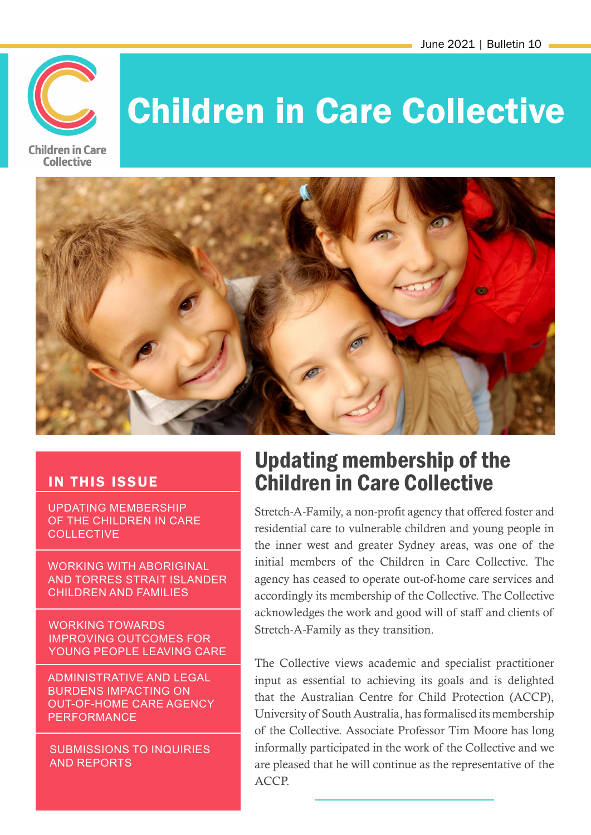

# Children in Care Collective



#### IN THIS ISSUE

UPDATING MEMBERSHIP OF THE CHILDREN IN CARE **COLLECTIVE** 

WORKING WITH ABORIGINAL AND TORRES STRAIT ISLANDER CHILDREN AND FAMILIES

WORKING TOWARDS IMPROVING OUTCOMES FOR YOUNG PEOPLE LEAVING CARE

ADMINISTRATIVE AND LEGAL BURDENS IMPACTING ON OUT-OF-HOME CARE AGENCY PERFORMANCE

SUBMISSIONS TO INQUIRIES AND REPORTS

### Updating membership of the Children in Care Collective

Stretch-A-Family, a non-profit agency that offered foster and residential care to vulnerable children and young people in the inner west and greater Sydney areas, was one of the initial members of the Children in Care Collective. The agency has ceased to operate out-of-home care services and accordingly its membership of the Collective. The Collective acknowledges the work and good will of staff and clients of Stretch-A-Family as they transition.

The Collective views academic and specialist practitioner input as essential to achieving its goals and is delighted that the Australian Centre for Child Protection (ACCP), University of South Australia, has formalised its membership of the Collective. Associate Professor Tim Moore has long informally participated in the work of the Collective and we are pleased that he will continue as the representative of the ACCP.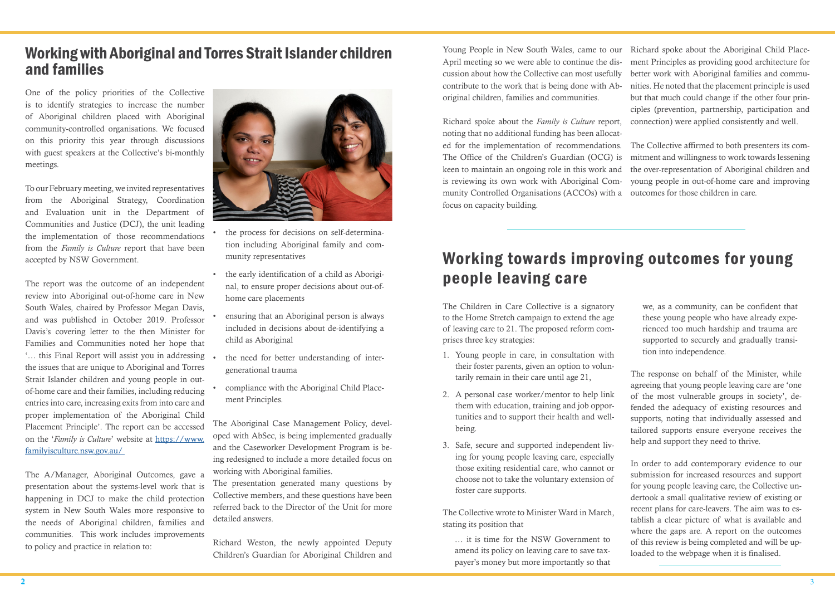One of the policy priorities of the Collective is to identify strategies to increase the number of Aboriginal children placed with Aboriginal community-controlled organisations. We focused on this priority this year through discussions with guest speakers at the Collective's bi-monthly meetings.

To our February meeting, we invited representatives from the Aboriginal Strategy, Coordination and Evaluation unit in the Department of Communities and Justice (DCJ), the unit leading the implementation of those recommendations from the *Family is Culture* report that have been accepted by NSW Government.

The report was the outcome of an independent review into Aboriginal out-of-home care in New South Wales, chaired by Professor Megan Davis, and was published in October 2019. Professor Davis's covering letter to the then Minister for Families and Communities noted her hope that '… this Final Report will assist you in addressing the issues that are unique to Aboriginal and Torres Strait Islander children and young people in outof-home care and their families, including reducing entries into care, increasing exits from into care and proper implementation of the Aboriginal Child Placement Principle'. The report can be accessed on the '*Family is Culture*' website at [https://www.](https://www.familyisculture.nsw.gov.au/) [familyisculture.nsw.gov.au/](https://www.familyisculture.nsw.gov.au/) 

- the process for decisions on self-determination including Aboriginal family and community representatives
- the early identification of a child as Aboriginal, to ensure proper decisions about out-ofhome care placements
- ensuring that an Aboriginal person is always included in decisions about de-identifying a child as Aboriginal
- the need for better understanding of intergenerational trauma
- compliance with the Aboriginal Child Placement Principles.

The A/Manager, Aboriginal Outcomes, gave a presentation about the systems-level work that is happening in DCJ to make the child protection system in New South Wales more responsive to the needs of Aboriginal children, families and communities. This work includes improvements to policy and practice in relation to:



The Aboriginal Case Management Policy, developed with AbSec, is being implemented gradually and the Caseworker Development Program is being redesigned to include a more detailed focus on working with Aboriginal families.

The presentation generated many questions by Collective members, and these questions have been referred back to the Director of the Unit for more detailed answers.

Richard Weston, the newly appointed Deputy Children's Guardian for Aboriginal Children and

#### Working with Aboriginal and Torres Strait Islander children and families

# Working towards improving outcomes for young people leaving care

Young People in New South Wales, came to our April meeting so we were able to continue the discussion about how the Collective can most usefully contribute to the work that is being done with Aboriginal children, families and communities. Richard spoke about the Aboriginal Child Placement Principles as providing good architecture for better work with Aboriginal families and communities. He noted that the placement principle is used but that much could change if the other four principles (prevention, partnership, participation and connection) were applied consistently and well.

Richard spoke about the *Family is Culture* report, noting that no additional funding has been allocated for the implementation of recommendations. The Office of the Children's Guardian (OCG) is keen to maintain an ongoing role in this work and is reviewing its own work with Aboriginal Community Controlled Organisations (ACCOs) with a outcomes for those children in care. focus on capacity building. The Collective affirmed to both presenters its commitment and willingness to work towards lessening the over-representation of Aboriginal children and young people in out-of-home care and improving

The Children in Care Collective is a signatory to the Home Stretch campaign to extend the age of leaving care to 21. The proposed reform comprises three key strategies:

- 1. Young people in care, in consultation with their foster parents, given an option to voluntarily remain in their care until age 21,
- 2. A personal case worker/mentor to help link them with education, training and job opportunities and to support their health and wellbeing.
- 3. Safe, secure and supported independent living for young people leaving care, especially those exiting residential care, who cannot or choose not to take the voluntary extension of foster care supports.

The Collective wrote to Minister Ward in March, stating its position that

… it is time for the NSW Government to amend its policy on leaving care to save taxpayer's money but more importantly so that

we, as a community, can be confident that these young people who have already experienced too much hardship and trauma are supported to securely and gradually transition into independence.

The response on behalf of the Minister, while agreeing that young people leaving care are 'one of the most vulnerable groups in society', defended the adequacy of existing resources and supports, noting that individually assessed and tailored supports ensure everyone receives the help and support they need to thrive.

In order to add contemporary evidence to our submission for increased resources and support for young people leaving care, the Collective undertook a small qualitative review of existing or recent plans for care-leavers. The aim was to establish a clear picture of what is available and where the gaps are. A report on the outcomes of this review is being completed and will be uploaded to the webpage when it is finalised.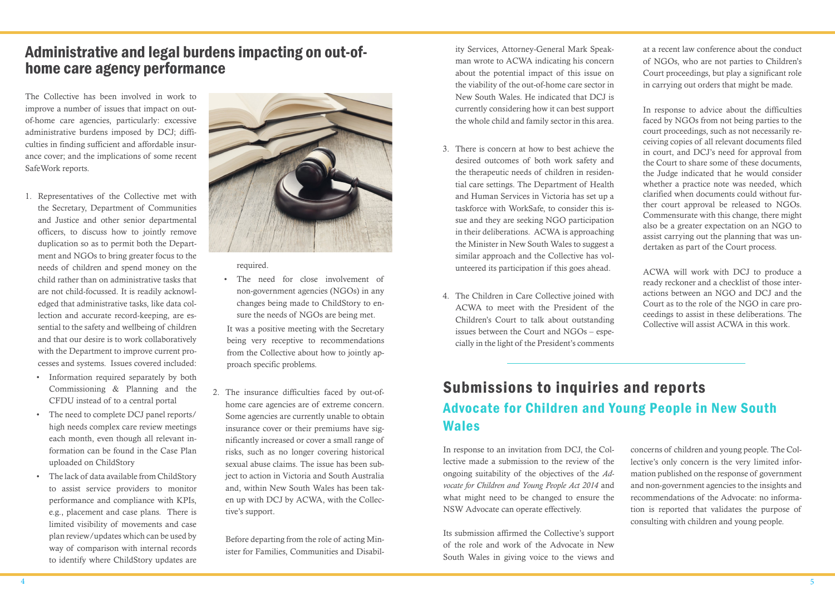The Collective has been involved in work to improve a number of issues that impact on outof-home care agencies, particularly: excessive administrative burdens imposed by DCJ; difficulties in finding sufficient and affordable insurance cover; and the implications of some recent SafeWork reports.

- 1. Representatives of the Collective met with the Secretary, Department of Communities and Justice and other senior departmental officers, to discuss how to jointly remove duplication so as to permit both the Department and NGOs to bring greater focus to the needs of children and spend money on the child rather than on administrative tasks that are not child-focussed. It is readily acknowledged that administrative tasks, like data collection and accurate record-keeping, are essential to the safety and wellbeing of children and that our desire is to work collaboratively with the Department to improve current processes and systems. Issues covered included:
	- Information required separately by both Commissioning & Planning and the CFDU instead of to a central portal
	- The need to complete DCJ panel reports/ high needs complex care review meetings each month, even though all relevant information can be found in the Case Plan uploaded on ChildStory
	- The lack of data available from ChildStory to assist service providers to monitor performance and compliance with KPIs, e.g., placement and case plans. There is limited visibility of movements and case plan review/updates which can be used by way of comparison with internal records to identify where ChildStory updates are



required.

• The need for close involvement of non-government agencies (NGOs) in any changes being made to ChildStory to ensure the needs of NGOs are being met.

It was a positive meeting with the Secretary being very receptive to recommendations from the Collective about how to jointly approach specific problems.

2. The insurance difficulties faced by out-ofhome care agencies are of extreme concern. Some agencies are currently unable to obtain insurance cover or their premiums have significantly increased or cover a small range of risks, such as no longer covering historical sexual abuse claims. The issue has been subject to action in Victoria and South Australia and, within New South Wales has been taken up with DCJ by ACWA, with the Collective's support.

Before departing from the role of acting Minister for Families, Communities and Disabil-

ity Services, Attorney-General Mark Speakman wrote to ACWA indicating his concern about the potential impact of this issue on the viability of the out-of-home care sector in New South Wales. He indicated that DCJ is currently considering how it can best support the whole child and family sector in this area.

- 3. There is concern at how to best achieve the desired outcomes of both work safety and the therapeutic needs of children in residential care settings. The Department of Health and Human Services in Victoria has set up a taskforce with WorkSafe, to consider this issue and they are seeking NGO participation in their deliberations. ACWA is approaching the Minister in New South Wales to suggest a similar approach and the Collective has volunteered its participation if this goes ahead.
- 4. The Children in Care Collective joined with ACWA to meet with the President of the Children's Court to talk about outstanding issues between the Court and NGOs – especially in the light of the President's comments

at a recent law conference about the conduct of NGOs, who are not parties to Children's Court proceedings, but play a significant role in carrying out orders that might be made.

In response to advice about the difficulties faced by NGOs from not being parties to the court proceedings, such as not necessarily receiving copies of all relevant documents filed in court, and DCJ's need for approval from the Court to share some of these documents, the Judge indicated that he would consider whether a practice note was needed, which clarified when documents could without further court approval be released to NGOs. Commensurate with this change, there might also be a greater expectation on an NGO to assist carrying out the planning that was undertaken as part of the Court process.

ACWA will work with DCJ to produce a ready reckoner and a checklist of those interactions between an NGO and DCJ and the Court as to the role of the NGO in care proceedings to assist in these deliberations. The Collective will assist ACWA in this work.

### Administrative and legal burdens impacting on out-ofhome care agency performance

### Submissions to inquiries and reports Advocate for Children and Young People in New South Wales

Its submission affirmed the Collective's support of the role and work of the Advocate in New South Wales in giving voice to the views and

In response to an invitation from DCJ, the Collective made a submission to the review of the ongoing suitability of the objectives of the *Advocate for Children and Young People Act 2014* and what might need to be changed to ensure the NSW Advocate can operate effectively. concerns of children and young people. The Collective's only concern is the very limited information published on the response of government and non-government agencies to the insights and recommendations of the Advocate: no information is reported that validates the purpose of consulting with children and young people.